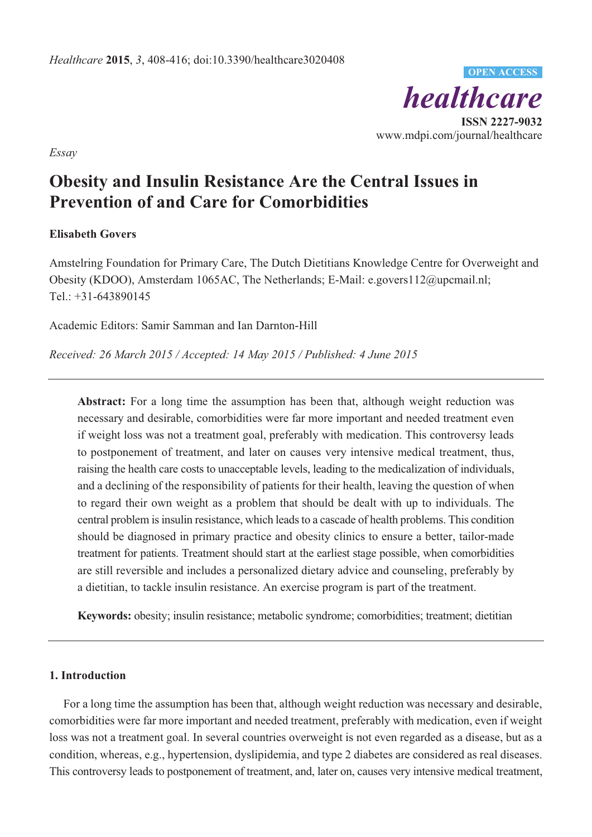

*Essay* 

# **Obesity and Insulin Resistance Are the Central Issues in Prevention of and Care for Comorbidities**

## **Elisabeth Govers**

Amstelring Foundation for Primary Care, The Dutch Dietitians Knowledge Centre for Overweight and Obesity (KDOO), Amsterdam 1065AC, The Netherlands; E-Mail: e.govers112@upcmail.nl; Tel.: +31-643890145

Academic Editors: Samir Samman and Ian Darnton-Hill

*Received: 26 March 2015 / Accepted: 14 May 2015 / Published: 4 June 2015* 

**Abstract:** For a long time the assumption has been that, although weight reduction was necessary and desirable, comorbidities were far more important and needed treatment even if weight loss was not a treatment goal, preferably with medication. This controversy leads to postponement of treatment, and later on causes very intensive medical treatment, thus, raising the health care costs to unacceptable levels, leading to the medicalization of individuals, and a declining of the responsibility of patients for their health, leaving the question of when to regard their own weight as a problem that should be dealt with up to individuals. The central problem is insulin resistance, which leads to a cascade of health problems. This condition should be diagnosed in primary practice and obesity clinics to ensure a better, tailor-made treatment for patients. Treatment should start at the earliest stage possible, when comorbidities are still reversible and includes a personalized dietary advice and counseling, preferably by a dietitian, to tackle insulin resistance. An exercise program is part of the treatment.

**Keywords:** obesity; insulin resistance; metabolic syndrome; comorbidities; treatment; dietitian

## **1. Introduction**

For a long time the assumption has been that, although weight reduction was necessary and desirable, comorbidities were far more important and needed treatment, preferably with medication, even if weight loss was not a treatment goal. In several countries overweight is not even regarded as a disease, but as a condition, whereas, e.g., hypertension, dyslipidemia, and type 2 diabetes are considered as real diseases. This controversy leads to postponement of treatment, and, later on, causes very intensive medical treatment,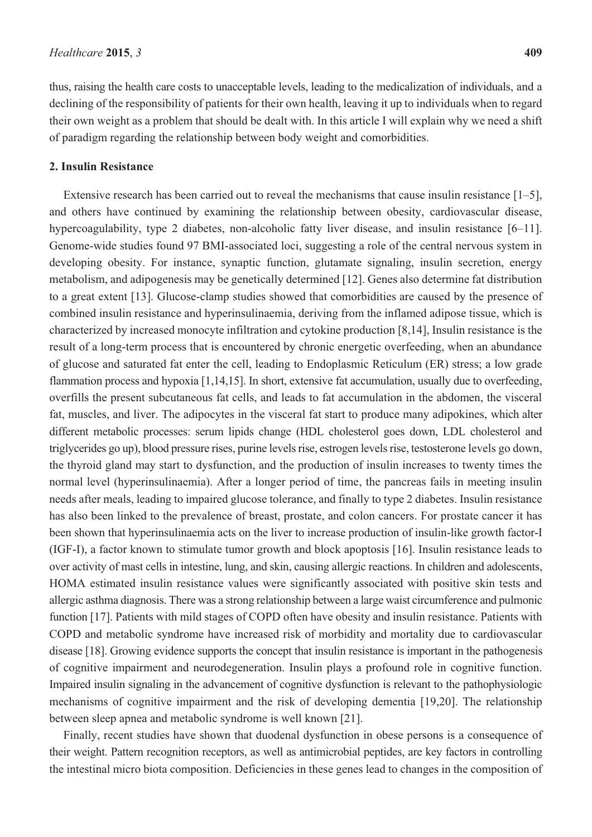thus, raising the health care costs to unacceptable levels, leading to the medicalization of individuals, and a declining of the responsibility of patients for their own health, leaving it up to individuals when to regard their own weight as a problem that should be dealt with. In this article I will explain why we need a shift of paradigm regarding the relationship between body weight and comorbidities.

### **2. Insulin Resistance**

Extensive research has been carried out to reveal the mechanisms that cause insulin resistance  $[1-5]$ , and others have continued by examining the relationship between obesity, cardiovascular disease, hypercoagulability, type 2 diabetes, non-alcoholic fatty liver disease, and insulin resistance [6–11]. Genome-wide studies found 97 BMI-associated loci, suggesting a role of the central nervous system in developing obesity. For instance, synaptic function, glutamate signaling, insulin secretion, energy metabolism, and adipogenesis may be genetically determined [12]. Genes also determine fat distribution to a great extent [13]. Glucose-clamp studies showed that comorbidities are caused by the presence of combined insulin resistance and hyperinsulinaemia, deriving from the inflamed adipose tissue, which is characterized by increased monocyte infiltration and cytokine production [8,14], Insulin resistance is the result of a long-term process that is encountered by chronic energetic overfeeding, when an abundance of glucose and saturated fat enter the cell, leading to Endoplasmic Reticulum (ER) stress; a low grade flammation process and hypoxia [1,14,15]. In short, extensive fat accumulation, usually due to overfeeding, overfills the present subcutaneous fat cells, and leads to fat accumulation in the abdomen, the visceral fat, muscles, and liver. The adipocytes in the visceral fat start to produce many adipokines, which alter different metabolic processes: serum lipids change (HDL cholesterol goes down, LDL cholesterol and triglycerides go up), blood pressure rises, purine levels rise, estrogen levels rise, testosterone levels go down, the thyroid gland may start to dysfunction, and the production of insulin increases to twenty times the normal level (hyperinsulinaemia). After a longer period of time, the pancreas fails in meeting insulin needs after meals, leading to impaired glucose tolerance, and finally to type 2 diabetes. Insulin resistance has also been linked to the prevalence of breast, prostate, and colon cancers. For prostate cancer it has been shown that hyperinsulinaemia acts on the liver to increase production of insulin-like growth factor-I (IGF-I), a factor known to stimulate tumor growth and block apoptosis [16]. Insulin resistance leads to over activity of mast cells in intestine, lung, and skin, causing allergic reactions. In children and adolescents, HOMA estimated insulin resistance values were significantly associated with positive skin tests and allergic asthma diagnosis. There was a strong relationship between a large waist circumference and pulmonic function [17]. Patients with mild stages of COPD often have obesity and insulin resistance. Patients with COPD and metabolic syndrome have increased risk of morbidity and mortality due to cardiovascular disease [18]. Growing evidence supports the concept that insulin resistance is important in the pathogenesis of cognitive impairment and neurodegeneration. Insulin plays a profound role in cognitive function. Impaired insulin signaling in the advancement of cognitive dysfunction is relevant to the pathophysiologic mechanisms of cognitive impairment and the risk of developing dementia [19,20]. The relationship between sleep apnea and metabolic syndrome is well known [21].

Finally, recent studies have shown that duodenal dysfunction in obese persons is a consequence of their weight. Pattern recognition receptors, as well as antimicrobial peptides, are key factors in controlling the intestinal micro biota composition. Deficiencies in these genes lead to changes in the composition of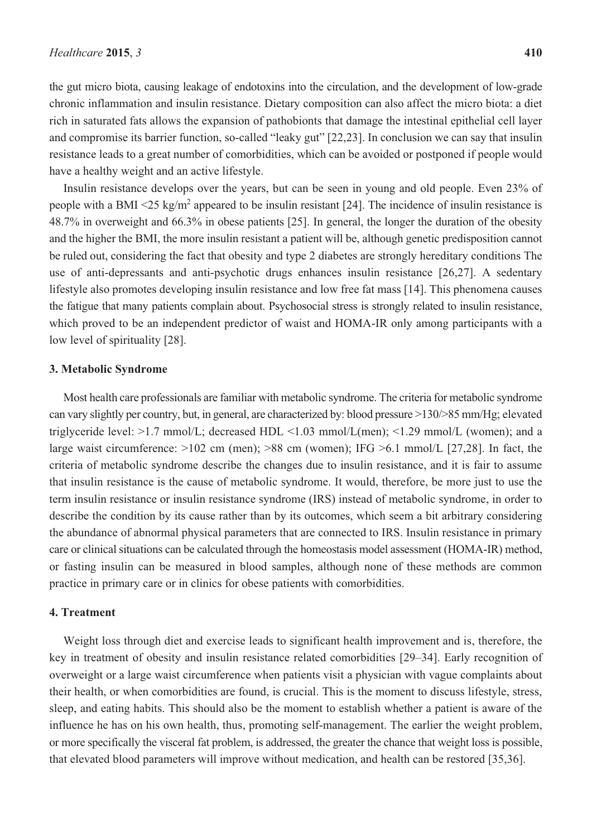the gut micro biota, causing leakage of endotoxins into the circulation, and the development of low-grade chronic inflammation and insulin resistance. Dietary composition can also affect the micro biota: a diet rich in saturated fats allows the expansion of pathobionts that damage the intestinal epithelial cell layer and compromise its barrier function, so-called "leaky gut" [22,23]. In conclusion we can say that insulin resistance leads to a great number of comorbidities, which can be avoided or postponed if people would have a healthy weight and an active lifestyle.

Insulin resistance develops over the years, but can be seen in young and old people. Even 23% of people with a BMI  $\leq$  25 kg/m<sup>2</sup> appeared to be insulin resistant [24]. The incidence of insulin resistance is 48.7% in overweight and 66.3% in obese patients [25]. In general, the longer the duration of the obesity and the higher the BMI, the more insulin resistant a patient will be, although genetic predisposition cannot be ruled out, considering the fact that obesity and type 2 diabetes are strongly hereditary conditions The use of anti-depressants and anti-psychotic drugs enhances insulin resistance [26,27]. A sedentary lifestyle also promotes developing insulin resistance and low free fat mass [14]. This phenomena causes the fatigue that many patients complain about. Psychosocial stress is strongly related to insulin resistance, which proved to be an independent predictor of waist and HOMA-IR only among participants with a low level of spirituality [28].

#### **3. Metabolic Syndrome**

Most health care professionals are familiar with metabolic syndrome. The criteria for metabolic syndrome can vary slightly per country, but, in general, are characterized by: blood pressure >130/>85 mm/Hg; elevated triglyceride level:  $>1.7$  mmol/L; decreased HDL  $<1.03$  mmol/L(men);  $<1.29$  mmol/L (women); and a large waist circumference:  $>102$  cm (men);  $>88$  cm (women); IFG  $>6.1$  mmol/L [27,28]. In fact, the criteria of metabolic syndrome describe the changes due to insulin resistance, and it is fair to assume that insulin resistance is the cause of metabolic syndrome. It would, therefore, be more just to use the term insulin resistance or insulin resistance syndrome (IRS) instead of metabolic syndrome, in order to describe the condition by its cause rather than by its outcomes, which seem a bit arbitrary considering the abundance of abnormal physical parameters that are connected to IRS. Insulin resistance in primary care or clinical situations can be calculated through the homeostasis model assessment (HOMA-IR) method, or fasting insulin can be measured in blood samples, although none of these methods are common practice in primary care or in clinics for obese patients with comorbidities.

#### **4. Treatment**

Weight loss through diet and exercise leads to significant health improvement and is, therefore, the key in treatment of obesity and insulin resistance related comorbidities [29–34]. Early recognition of overweight or a large waist circumference when patients visit a physician with vague complaints about their health, or when comorbidities are found, is crucial. This is the moment to discuss lifestyle, stress, sleep, and eating habits. This should also be the moment to establish whether a patient is aware of the influence he has on his own health, thus, promoting self-management. The earlier the weight problem, or more specifically the visceral fat problem, is addressed, the greater the chance that weight loss is possible, that elevated blood parameters will improve without medication, and health can be restored [35,36].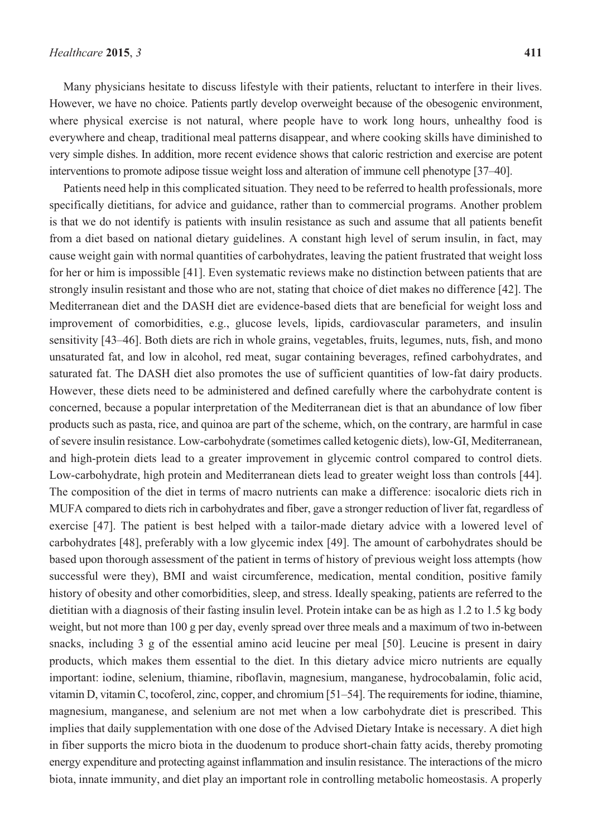Many physicians hesitate to discuss lifestyle with their patients, reluctant to interfere in their lives. However, we have no choice. Patients partly develop overweight because of the obesogenic environment, where physical exercise is not natural, where people have to work long hours, unhealthy food is everywhere and cheap, traditional meal patterns disappear, and where cooking skills have diminished to very simple dishes. In addition, more recent evidence shows that caloric restriction and exercise are potent interventions to promote adipose tissue weight loss and alteration of immune cell phenotype [37–40].

Patients need help in this complicated situation. They need to be referred to health professionals, more specifically dietitians, for advice and guidance, rather than to commercial programs. Another problem is that we do not identify is patients with insulin resistance as such and assume that all patients benefit from a diet based on national dietary guidelines. A constant high level of serum insulin, in fact, may cause weight gain with normal quantities of carbohydrates, leaving the patient frustrated that weight loss for her or him is impossible [41]. Even systematic reviews make no distinction between patients that are strongly insulin resistant and those who are not, stating that choice of diet makes no difference [42]. The Mediterranean diet and the DASH diet are evidence-based diets that are beneficial for weight loss and improvement of comorbidities, e.g., glucose levels, lipids, cardiovascular parameters, and insulin sensitivity [43–46]. Both diets are rich in whole grains, vegetables, fruits, legumes, nuts, fish, and mono unsaturated fat, and low in alcohol, red meat, sugar containing beverages, refined carbohydrates, and saturated fat. The DASH diet also promotes the use of sufficient quantities of low-fat dairy products. However, these diets need to be administered and defined carefully where the carbohydrate content is concerned, because a popular interpretation of the Mediterranean diet is that an abundance of low fiber products such as pasta, rice, and quinoa are part of the scheme, which, on the contrary, are harmful in case of severe insulin resistance. Low-carbohydrate (sometimes called ketogenic diets), low-GI, Mediterranean, and high-protein diets lead to a greater improvement in glycemic control compared to control diets. Low-carbohydrate, high protein and Mediterranean diets lead to greater weight loss than controls [44]. The composition of the diet in terms of macro nutrients can make a difference: isocaloric diets rich in MUFA compared to diets rich in carbohydrates and fiber, gave a stronger reduction of liver fat, regardless of exercise [47]. The patient is best helped with a tailor-made dietary advice with a lowered level of carbohydrates [48], preferably with a low glycemic index [49]. The amount of carbohydrates should be based upon thorough assessment of the patient in terms of history of previous weight loss attempts (how successful were they), BMI and waist circumference, medication, mental condition, positive family history of obesity and other comorbidities, sleep, and stress. Ideally speaking, patients are referred to the dietitian with a diagnosis of their fasting insulin level. Protein intake can be as high as 1.2 to 1.5 kg body weight, but not more than 100 g per day, evenly spread over three meals and a maximum of two in-between snacks, including 3 g of the essential amino acid leucine per meal [50]. Leucine is present in dairy products, which makes them essential to the diet. In this dietary advice micro nutrients are equally important: iodine, selenium, thiamine, riboflavin, magnesium, manganese, hydrocobalamin, folic acid, vitamin D, vitamin C, tocoferol, zinc, copper, and chromium [51–54]. The requirements for iodine, thiamine, magnesium, manganese, and selenium are not met when a low carbohydrate diet is prescribed. This implies that daily supplementation with one dose of the Advised Dietary Intake is necessary. A diet high in fiber supports the micro biota in the duodenum to produce short-chain fatty acids, thereby promoting energy expenditure and protecting against inflammation and insulin resistance. The interactions of the micro biota, innate immunity, and diet play an important role in controlling metabolic homeostasis. A properly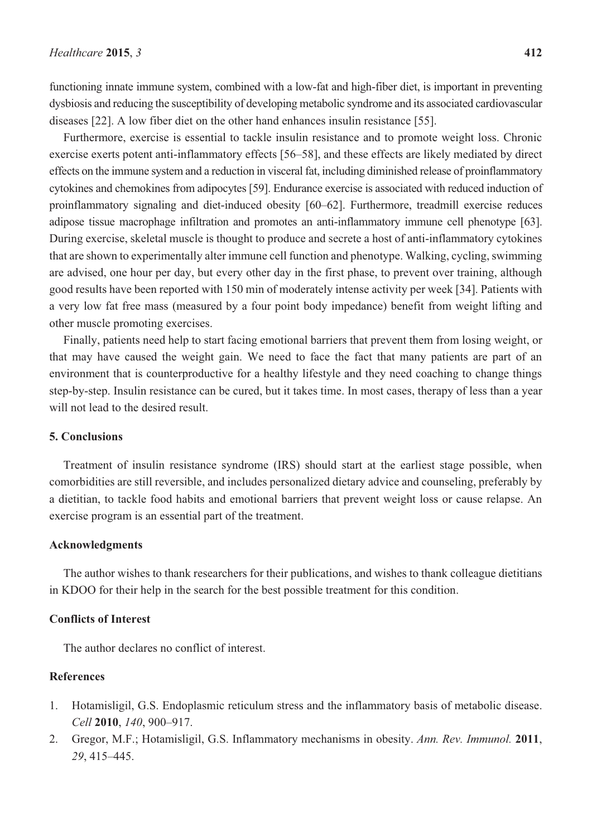functioning innate immune system, combined with a low-fat and high-fiber diet, is important in preventing dysbiosis and reducing the susceptibility of developing metabolic syndrome and its associated cardiovascular diseases [22]. A low fiber diet on the other hand enhances insulin resistance [55].

Furthermore, exercise is essential to tackle insulin resistance and to promote weight loss. Chronic exercise exerts potent anti-inflammatory effects [56–58], and these effects are likely mediated by direct effects on the immune system and a reduction in visceral fat, including diminished release of proinflammatory cytokines and chemokines from adipocytes [59]. Endurance exercise is associated with reduced induction of proinflammatory signaling and diet-induced obesity [60–62]. Furthermore, treadmill exercise reduces adipose tissue macrophage infiltration and promotes an anti-inflammatory immune cell phenotype [63]. During exercise, skeletal muscle is thought to produce and secrete a host of anti-inflammatory cytokines that are shown to experimentally alter immune cell function and phenotype. Walking, cycling, swimming are advised, one hour per day, but every other day in the first phase, to prevent over training, although good results have been reported with 150 min of moderately intense activity per week [34]. Patients with a very low fat free mass (measured by a four point body impedance) benefit from weight lifting and other muscle promoting exercises.

Finally, patients need help to start facing emotional barriers that prevent them from losing weight, or that may have caused the weight gain. We need to face the fact that many patients are part of an environment that is counterproductive for a healthy lifestyle and they need coaching to change things step-by-step. Insulin resistance can be cured, but it takes time. In most cases, therapy of less than a year will not lead to the desired result.

## **5. Conclusions**

Treatment of insulin resistance syndrome (IRS) should start at the earliest stage possible, when comorbidities are still reversible, and includes personalized dietary advice and counseling, preferably by a dietitian, to tackle food habits and emotional barriers that prevent weight loss or cause relapse. An exercise program is an essential part of the treatment.

#### **Acknowledgments**

The author wishes to thank researchers for their publications, and wishes to thank colleague dietitians in KDOO for their help in the search for the best possible treatment for this condition.

#### **Conflicts of Interest**

The author declares no conflict of interest.

### **References**

- 1. Hotamisligil, G.S. Endoplasmic reticulum stress and the inflammatory basis of metabolic disease. *Cell* **<sup>2010</sup>**, *140*, 900–917.
- 2. Gregor, M.F.; Hotamisligil, G.S. Inflammatory mechanisms in obesity. *Ann. Rev. Immunol.* **2011**, *<sup>29</sup>*, 415–445.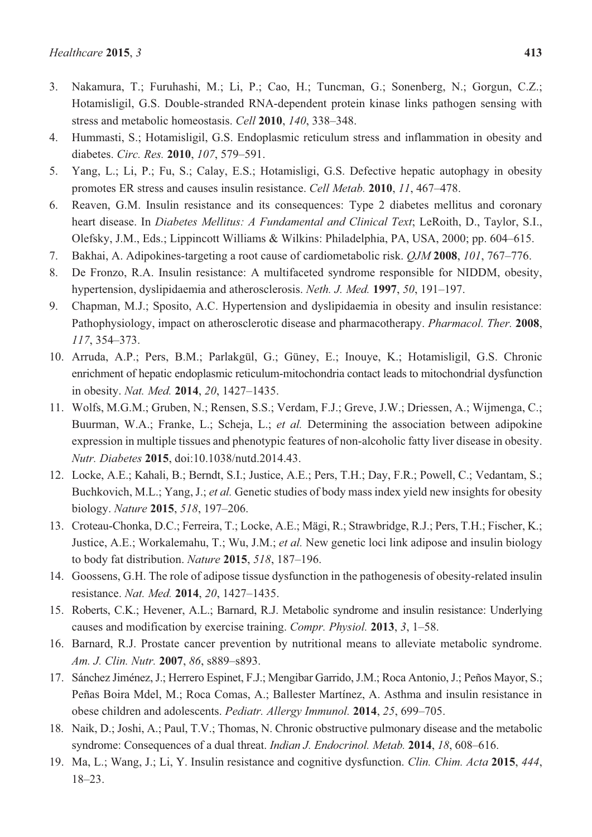- 3. Nakamura, T.; Furuhashi, M.; Li, P.; Cao, H.; Tuncman, G.; Sonenberg, N.; Gorgun, C.Z.; Hotamisligil, G.S. Double-stranded RNA-dependent protein kinase links pathogen sensing with stress and metabolic homeostasis. *Cell* **<sup>2010</sup>**, *140*, 338–348.
- 4. Hummasti, S.; Hotamisligil, G.S. Endoplasmic reticulum stress and inflammation in obesity and diabetes. *Circ. Res.* **<sup>2010</sup>**, *107*, 579–591.
- 5. Yang, L.; Li, P.; Fu, S.; Calay, E.S.; Hotamisligi, G.S. Defective hepatic autophagy in obesity promotes ER stress and causes insulin resistance. *Cell Metab.* **<sup>2010</sup>**, *11*, 467–478.
- 6. Reaven, G.M. Insulin resistance and its consequences: Type 2 diabetes mellitus and coronary heart disease. In *Diabetes Mellitus: A Fundamental and Clinical Text*; LeRoith, D., Taylor, S.I., Olefsky, J.M., Eds.; Lippincott Williams & Wilkins: Philadelphia, PA, USA, 2000; pp. 604–615.
- 7. Bakhai, A. Adipokines-targeting a root cause of cardiometabolic risk. *QJM* **<sup>2008</sup>**, *101*, 767–776.
- De Fronzo, R.A. Insulin resistance: A multifaceted syndrome responsible for NIDDM, obesity, hypertension, dyslipidaemia and atherosclerosis. *Neth. J. Med.* **<sup>1997</sup>**, *50*, 191–197.
- 9. Chapman, M.J.; Sposito, A.C. Hypertension and dyslipidaemia in obesity and insulin resistance: Pathophysiology, impact on atherosclerotic disease and pharmacotherapy. *Pharmacol. Ther.* **2008**, *<sup>117</sup>*, 354–373.
- 10. Arruda, A.P.; Pers, B.M.; Parlakgül, G.; Güney, E.; Inouye, K.; Hotamisligil, G.S. Chronic enrichment of hepatic endoplasmic reticulum-mitochondria contact leads to mitochondrial dysfunction in obesity. *Nat. Med.* **<sup>2014</sup>**, *20*, 1427–1435.
- 11. Wolfs, M.G.M.; Gruben, N.; Rensen, S.S.; Verdam, F.J.; Greve, J.W.; Driessen, A.; Wijmenga, C.; Buurman, W.A.; Franke, L.; Scheja, L.; *et al.* Determining the association between adipokine expression in multiple tissues and phenotypic features of non-alcoholic fatty liver disease in obesity. *Nutr. Diabetes* **2015**, doi:10.1038/nutd.2014.43.
- 12. Locke, A.E.; Kahali, B.; Berndt, S.I.; Justice, A.E.; Pers, T.H.; Day, F.R.; Powell, C.; Vedantam, S.; Buchkovich, M.L.; Yang, J.; *et al.* Genetic studies of body mass index yield new insights for obesity biology. *Nature* **<sup>2015</sup>**, *518*, 197–206.
- 13. Croteau-Chonka, D.C.; Ferreira, T.; Locke, A.E.; Mägi, R.; Strawbridge, R.J.; Pers, T.H.; Fischer, K.; Justice, A.E.; Workalemahu, T.; Wu, J.M.; *et al.* New genetic loci link adipose and insulin biology to body fat distribution. *Nature* **<sup>2015</sup>**, *518*, 187–196.
- 14. Goossens, G.H. The role of adipose tissue dysfunction in the pathogenesis of obesity-related insulin resistance. *Nat. Med.* **<sup>2014</sup>**, *20*, 1427–1435.
- 15. Roberts, C.K.; Hevener, A.L.; Barnard, R.J. Metabolic syndrome and insulin resistance: Underlying causes and modification by exercise training. *Compr. Physiol.* **<sup>2013</sup>**, *3*, 1–58.
- 16. Barnard, R.J. Prostate cancer prevention by nutritional means to alleviate metabolic syndrome. *Am. J. Clin. Nutr.* **<sup>2007</sup>**, *86*, s889–s893.
- 17. Sánchez Jiménez, J.; Herrero Espinet, F.J.; Mengibar Garrido, J.M.; Roca Antonio, J.; Peños Mayor, S.; Peñas Boira Mdel, M.; Roca Comas, A.; Ballester Martínez, A. Asthma and insulin resistance in obese children and adolescents. *Pediatr. Allergy Immunol.* **<sup>2014</sup>**, *25*, 699–705.
- 18. Naik, D.; Joshi, A.; Paul, T.V.; Thomas, N. Chronic obstructive pulmonary disease and the metabolic syndrome: Consequences of a dual threat. *Indian J. Endocrinol. Metab.* **<sup>2014</sup>**, *18*, 608–616.
- 19. Ma, L.; Wang, J.; Li, Y. Insulin resistance and cognitive dysfunction. *Clin. Chim. Acta* **2015**, *444*, <sup>18</sup>–23.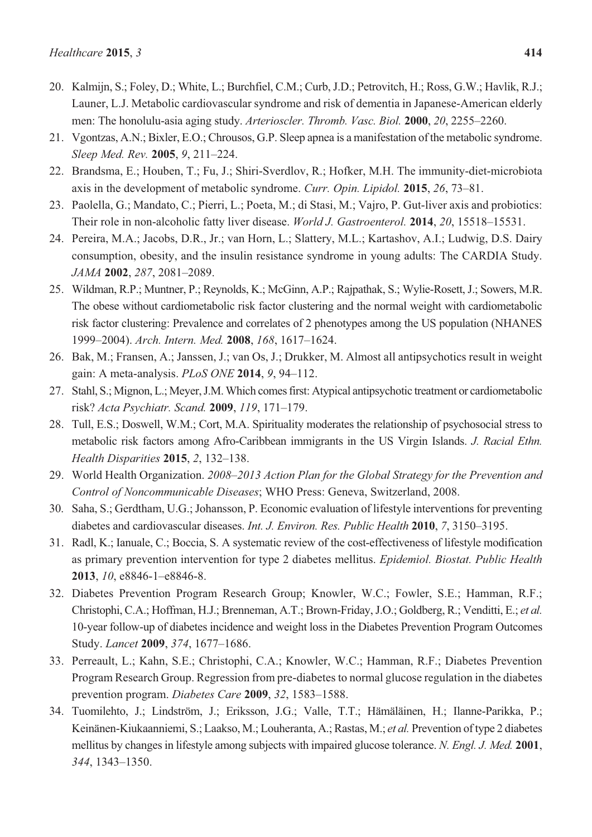- men: The honolulu-asia aging study. *Arterioscler. Thromb. Vasc. Biol.* **<sup>2000</sup>**, *20*, 2255–2260.
- 21. Vgontzas, A.N.; Bixler, E.O.; Chrousos, G.P. Sleep apnea is a manifestation of the metabolic syndrome. *Sleep Med. Rev.* **<sup>2005</sup>**, *9*, 211–224.
- 22. Brandsma, E.; Houben, T.; Fu, J.; Shiri-Sverdlov, R.; Hofker, M.H. The immunity-diet-microbiota axis in the development of metabolic syndrome. *Curr. Opin. Lipidol.* **<sup>2015</sup>**, *26*, 73–81.
- 23. Paolella, G.; Mandato, C.; Pierri, L.; Poeta, M.; di Stasi, M.; Vajro, P. Gut-liver axis and probiotics: Their role in non-alcoholic fatty liver disease. *World J. Gastroenterol.* **<sup>2014</sup>**, *20*, 15518–15531.
- 24. Pereira, M.A.; Jacobs, D.R., Jr.; van Horn, L.; Slattery, M.L.; Kartashov, A.I.; Ludwig, D.S. Dairy consumption, obesity, and the insulin resistance syndrome in young adults: The CARDIA Study. *JAMA* **<sup>2002</sup>**, *287*, 2081–2089.
- 25. Wildman, R.P.; Muntner, P.; Reynolds, K.; McGinn, A.P.; Rajpathak, S.; Wylie-Rosett, J.; Sowers, M.R. The obese without cardiometabolic risk factor clustering and the normal weight with cardiometabolic risk factor clustering: Prevalence and correlates of 2 phenotypes among the US population (NHANES <sup>1999</sup>–2004). *Arch. Intern. Med.* **<sup>2008</sup>**, *168*, 1617–1624.
- 26. Bak, M.; Fransen, A.; Janssen, J.; van Os, J.; Drukker, M. Almost all antipsychotics result in weight gain: A meta-analysis. *PLoS ONE* **<sup>2014</sup>**, *9*, 94–112.
- 27. Stahl, S.; Mignon, L.; Meyer, J.M. Which comes first: Atypical antipsychotic treatment or cardiometabolic risk? *Acta Psychiatr. Scand.* **<sup>2009</sup>**, *119*, 171–179.
- 28. Tull, E.S.; Doswell, W.M.; Cort, M.A. Spirituality moderates the relationship of psychosocial stress to metabolic risk factors among Afro-Caribbean immigrants in the US Virgin Islands. *J. Racial Ethn. Health Disparities* **<sup>2015</sup>**, *2*, 132–138.
- 29. World Health Organization. *2008–2013 Action Plan for the Global Strategy for the Prevention and Control of Noncommunicable Diseases*; WHO Press: Geneva, Switzerland, 2008.
- 30. Saha, S.; Gerdtham, U.G.; Johansson, P. Economic evaluation of lifestyle interventions for preventing diabetes and cardiovascular diseases. *Int. J. Environ. Res. Public Health* **<sup>2010</sup>**, *7*, 3150–3195.
- 31. Radl, K.; Ianuale, C.; Boccia, S. A systematic review of the cost-effectiveness of lifestyle modification as primary prevention intervention for type 2 diabetes mellitus. *Epidemiol. Biostat. Public Health* **<sup>2013</sup>**, *10*, e8846-1–e8846-8.
- 32. Diabetes Prevention Program Research Group; Knowler, W.C.; Fowler, S.E.; Hamman, R.F.; Christophi, C.A.; Hoffman, H.J.; Brenneman, A.T.; Brown-Friday, J.O.; Goldberg, R.; Venditti, E.; *et al.* 10-year follow-up of diabetes incidence and weight loss in the Diabetes Prevention Program Outcomes Study. *Lancet* **<sup>2009</sup>**, *374*, 1677–1686.
- 33. Perreault, L.; Kahn, S.E.; Christophi, C.A.; Knowler, W.C.; Hamman, R.F.; Diabetes Prevention Program Research Group. Regression from pre-diabetes to normal glucose regulation in the diabetes prevention program. *Diabetes Care* **<sup>2009</sup>**, *32*, 1583–1588.
- 34. Tuomilehto, J.; Lindström, J.; Eriksson, J.G.; Valle, T.T.; Hämäläinen, H.; Ilanne-Parikka, P.; Keinänen-Kiukaanniemi, S.; Laakso, M.; Louheranta, A.; Rastas, M.; *et al.* Prevention of type 2 diabetes mellitus by changes in lifestyle among subjects with impaired glucose tolerance. *N. Engl. J. Med.* **2001**, *<sup>344</sup>*, 1343–1350.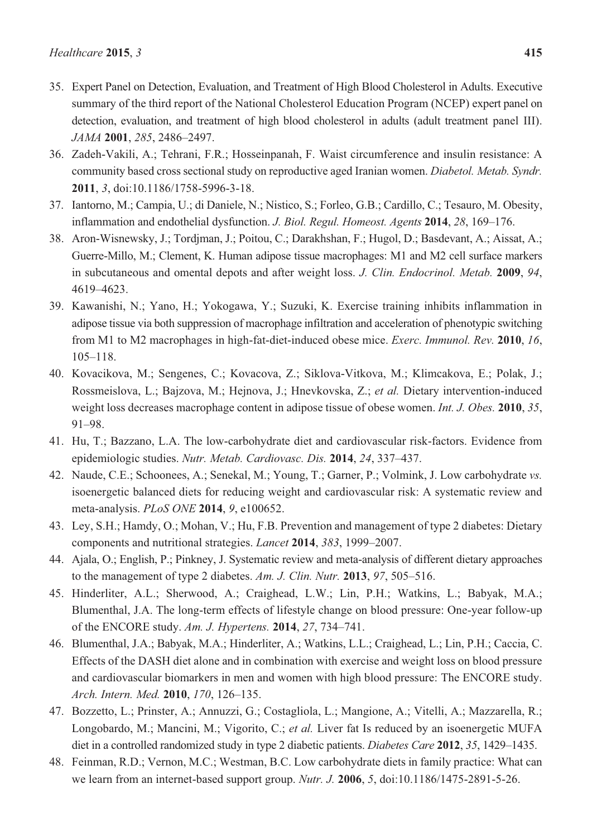- 35. Expert Panel on Detection, Evaluation, and Treatment of High Blood Cholesterol in Adults. Executive summary of the third report of the National Cholesterol Education Program (NCEP) expert panel on detection, evaluation, and treatment of high blood cholesterol in adults (adult treatment panel III). *JAMA* **<sup>2001</sup>**, *285*, 2486–2497.
- 36. Zadeh-Vakili, A.; Tehrani, F.R.; Hosseinpanah, F. Waist circumference and insulin resistance: A community based cross sectional study on reproductive aged Iranian women. *Diabetol. Metab. Syndr.* **2011**, *3*, doi:10.1186/1758-5996-3-18.
- 37. Iantorno, M.; Campia, U.; di Daniele, N.; Nistico, S.; Forleo, G.B.; Cardillo, C.; Tesauro, M. Obesity, inflammation and endothelial dysfunction. *J. Biol. Regul. Homeost. Agents* **<sup>2014</sup>**, *28*, 169–176.
- 38. Aron-Wisnewsky, J.; Tordjman, J.; Poitou, C.; Darakhshan, F.; Hugol, D.; Basdevant, A.; Aissat, A.; Guerre-Millo, M.; Clement, K. Human adipose tissue macrophages: M1 and M2 cell surface markers in subcutaneous and omental depots and after weight loss. *J. Clin. Endocrinol. Metab.* **2009**, *94*, <sup>4619</sup>–4623.
- 39. Kawanishi, N.; Yano, H.; Yokogawa, Y.; Suzuki, K. Exercise training inhibits inflammation in adipose tissue via both suppression of macrophage infiltration and acceleration of phenotypic switching from M1 to M2 macrophages in high-fat-diet-induced obese mice. *Exerc. Immunol. Rev.* **2010**, *16*, <sup>105</sup>–118.
- 40. Kovacikova, M.; Sengenes, C.; Kovacova, Z.; Siklova-Vitkova, M.; Klimcakova, E.; Polak, J.; Rossmeislova, L.; Bajzova, M.; Hejnova, J.; Hnevkovska, Z.; *et al.* Dietary intervention-induced weight loss decreases macrophage content in adipose tissue of obese women. *Int. J. Obes.* **2010**, *35*, <sup>91</sup>–98.
- 41. Hu, T.; Bazzano, L.A. The low-carbohydrate diet and cardiovascular risk-factors. Evidence from epidemiologic studies. *Nutr. Metab. Cardiovasc. Dis.* **<sup>2014</sup>**, *24*, 337–437.
- 42. Naude, C.E.; Schoonees, A.; Senekal, M.; Young, T.; Garner, P.; Volmink, J. Low carbohydrate *vs.* isoenergetic balanced diets for reducing weight and cardiovascular risk: A systematic review and meta-analysis. *PLoS ONE* **2014**, *9*, e100652.
- 43. Ley, S.H.; Hamdy, O.; Mohan, V.; Hu, F.B. Prevention and management of type 2 diabetes: Dietary components and nutritional strategies. *Lancet* **<sup>2014</sup>**, *383*, 1999–2007.
- 44. Ajala, O.; English, P.; Pinkney, J. Systematic review and meta-analysis of different dietary approaches to the management of type 2 diabetes. *Am. J. Clin. Nutr.* **<sup>2013</sup>**, *97*, 505–516.
- 45. Hinderliter, A.L.; Sherwood, A.; Craighead, L.W.; Lin, P.H.; Watkins, L.; Babyak, M.A.; Blumenthal, J.A. The long-term effects of lifestyle change on blood pressure: One-year follow-up of the ENCORE study. *Am. J. Hypertens.* **<sup>2014</sup>**, *27*, 734–741.
- 46. Blumenthal, J.A.; Babyak, M.A.; Hinderliter, A.; Watkins, L.L.; Craighead, L.; Lin, P.H.; Caccia, C. Effects of the DASH diet alone and in combination with exercise and weight loss on blood pressure and cardiovascular biomarkers in men and women with high blood pressure: The ENCORE study. *Arch. Intern. Med.* **<sup>2010</sup>**, *170*, 126–135.
- 47. Bozzetto, L.; Prinster, A.; Annuzzi, G.; Costagliola, L.; Mangione, A.; Vitelli, A.; Mazzarella, R.; Longobardo, M.; Mancini, M.; Vigorito, C.; *et al.* Liver fat Is reduced by an isoenergetic MUFA diet in a controlled randomized study in type 2 diabetic patients. *Diabetes Care* **<sup>2012</sup>**, *35*, 1429–1435.
- 48. Feinman, R.D.; Vernon, M.C.; Westman, B.C. Low carbohydrate diets in family practice: What can we learn from an internet-based support group. *Nutr. J.* **2006**, *5*, doi:10.1186/1475-2891-5-26.